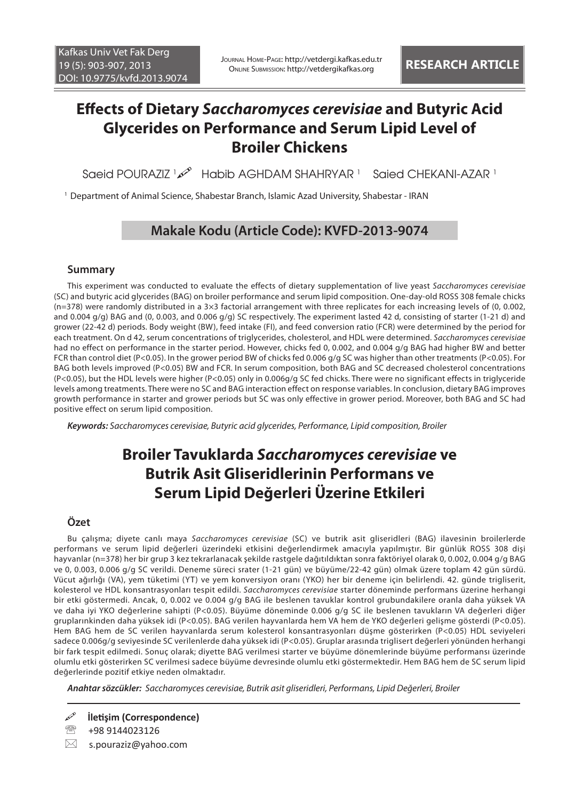# **Effects of Dietary** *Saccharomyces cerevisiae* **and Butyric Acid Glycerides on Performance and Serum Lipid Level of Broiler Chickens**

Saeid POURAZIZ 1 Habib AGHDAM SHAHRYAR 1 Saied CHEKANI-AZAR 1

<sup>1</sup> Department of Animal Science, Shabestar Branch, Islamic Azad University, Shabestar - IRAN

## **Makale Kodu (Article Code): KVFD-2013-9074**

### **Summary**

This experiment was conducted to evaluate the effects of dietary supplementation of live yeast *Saccharomyces cerevisiae* (SC) and butyric acid glycerides (BAG) on broiler performance and serum lipid composition. One-day-old ROSS 308 female chicks (n=378) were randomly distributed in a 3×3 factorial arrangement with three replicates for each increasing levels of (0, 0.002, and 0.004 g/g) BAG and (0, 0.003, and 0.006 g/g) SC respectively. The experiment lasted 42 d, consisting of starter (1-21 d) and grower (22-42 d) periods. Body weight (BW), feed intake (FI), and feed conversion ratio (FCR) were determined by the period for each treatment. On d 42, serum concentrations of triglycerides, cholesterol, and HDL were determined. *Saccharomyces cerevisiae* had no effect on performance in the starter period. However, chicks fed 0, 0.002, and 0.004 g/g BAG had higher BW and better FCR than control diet (P<0.05). In the grower period BW of chicks fed 0.006 g/g SC was higher than other treatments (P<0.05). For BAG both levels improved (P<0.05) BW and FCR. In serum composition, both BAG and SC decreased cholesterol concentrations (P<0.05), but the HDL levels were higher (P<0.05) only in 0.006g/g SC fed chicks. There were no significant effects in triglyceride levels among treatments. There were no SC and BAG interaction effect on response variables. In conclusion, dietary BAG improves growth performance in starter and grower periods but SC was only effective in grower period. Moreover, both BAG and SC had positive effect on serum lipid composition.

*Keywords: Saccharomyces cerevisiae, Butyric acid glycerides, Performance, Lipid composition, Broiler*

# **Broiler Tavuklarda** *Saccharomyces cerevisiae* **ve Butrik Asit Gliseridlerinin Performans ve Serum Lipid Değerleri Üzerine Etkileri**

### **Özet**

Bu çalışma; diyete canlı maya *Saccharomyces cerevisiae* (SC) ve butrik asit gliseridleri (BAG) ilavesinin broilerlerde performans ve serum lipid değerleri üzerindeki etkisini değerlendirmek amacıyla yapılmıştır. Bir günlük ROSS 308 dişi hayvanlar (n=378) her bir grup 3 kez tekrarlanacak şekilde rastgele dağıtıldıktan sonra faktöriyel olarak 0, 0.002, 0.004 g/g BAG ve 0, 0.003, 0.006 g/g SC verildi. Deneme süreci srater (1-21 gün) ve büyüme/22-42 gün) olmak üzere toplam 42 gün sürdü. Vücut ağırlığı (VA), yem tüketimi (YT) ve yem konversiyon oranı (YKO) her bir deneme için belirlendi. 42. günde trigliserit, kolesterol ve HDL konsantrasyonları tespit edildi. *Saccharomyces cerevisiae* starter döneminde performans üzerine herhangi bir etki göstermedi. Ancak, 0, 0.002 ve 0.004 g/g BAG ile beslenen tavuklar kontrol grubundakilere oranla daha yüksek VA ve daha iyi YKO değerlerine sahipti (P<0.05). Büyüme döneminde 0.006 g/g SC ile beslenen tavukların VA değerleri diğer gruplarınkinden daha yüksek idi (P<0.05). BAG verilen hayvanlarda hem VA hem de YKO değerleri gelişme gösterdi (P<0.05). Hem BAG hem de SC verilen hayvanlarda serum kolesterol konsantrasyonları düşme gösterirken (P<0.05) HDL seviyeleri sadece 0.006g/g seviyesinde SC verilenlerde daha yüksek idi (P<0.05). Gruplar arasında triglisert değerleri yönünden herhangi bir fark tespit edilmedi. Sonuç olarak; diyette BAG verilmesi starter ve büyüme dönemlerinde büyüme performansı üzerinde olumlu etki gösterirken SC verilmesi sadece büyüme devresinde olumlu etki göstermektedir. Hem BAG hem de SC serum lipid değerlerinde pozitif etkiye neden olmaktadır.

*Anahtar sözcükler: Saccharomyces cerevisiae, Butrik asit gliseridleri, Performans, Lipid Değerleri, Broiler*

**İletişim (Correspondence)**

☎ +98 9144023126

 $\boxtimes$  s.pouraziz@yahoo.com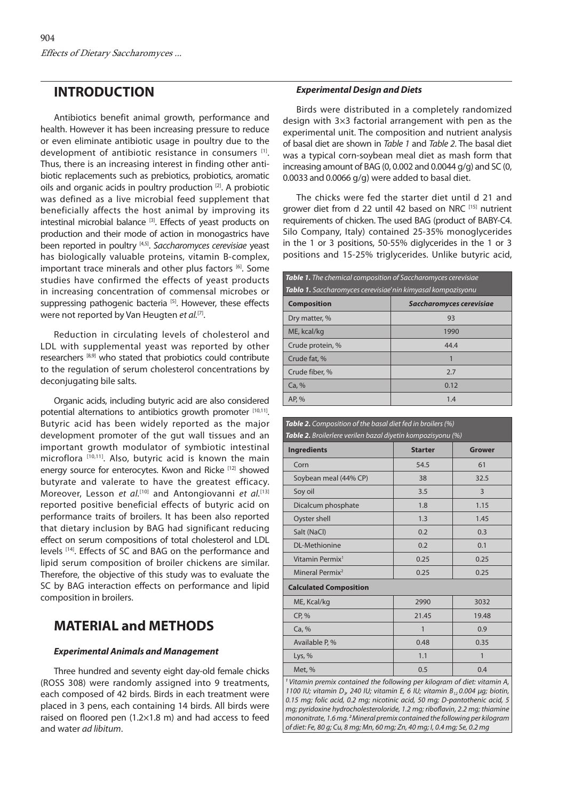### **INTRODUCTION**

Antibiotics benefit animal growth, performance and health. However it has been increasing pressure to reduce or even eliminate antibiotic usage in poultry due to the development of antibiotic resistance in consumers [1]. Thus, there is an increasing interest in finding other antibiotic replacements such as prebiotics, probiotics, aromatic oils and organic acids in poultry production [2]. A probiotic was defined as a live microbial feed supplement that beneficially affects the host animal by improving its intestinal microbial balance [3]. Effects of yeast products on production and their mode of action in monogastrics have been reported in poultry [4,5]. *Saccharomyces cerevisiae* yeast has biologically valuable proteins, vitamin B-complex, important trace minerals and other plus factors [6]. Some studies have confirmed the effects of yeast products in increasing concentration of commensal microbes or suppressing pathogenic bacteria [5]. However, these effects were not reported by Van Heugten et al.<sup>[7]</sup>.

Reduction in circulating levels of cholesterol and LDL with supplemental yeast was reported by other researchers [8,9] who stated that probiotics could contribute to the regulation of serum cholesterol concentrations by deconjugating bile salts.

Organic acids, including butyric acid are also considered potential alternations to antibiotics growth promoter [10,11]. Butyric acid has been widely reported as the major development promoter of the gut wall tissues and an important growth modulator of symbiotic intestinal microflora [10,11]. Also, butyric acid is known the main energy source for enterocytes. Kwon and Ricke<sup>[12]</sup> showed butyrate and valerate to have the greatest efficacy. Moreover, Lesson *et al.*<sup>[10]</sup> and Antongiovanni *et al.*<sup>[13]</sup> reported positive beneficial effects of butyric acid on performance traits of broilers. It has been also reported that dietary inclusion by BAG had significant reducing effect on serum compositions of total cholesterol and LDL levels [14]. Effects of SC and BAG on the performance and lipid serum composition of broiler chickens are similar. Therefore, the objective of this study was to evaluate the SC by BAG interaction effects on performance and lipid composition in broilers.

## **MATERIAL and METHODS**

### *Experimental Animals and Management*

Three hundred and seventy eight day-old female chicks (ROSS 308) were randomly assigned into 9 treatments, each composed of 42 birds. Birds in each treatment were placed in 3 pens, each containing 14 birds. All birds were raised on floored pen (1.2×1.8 m) and had access to feed and water *ad libitum*.

#### *Experimental Design and Diets*

Birds were distributed in a completely randomized design with 3×3 factorial arrangement with pen as the experimental unit. The composition and nutrient analysis of basal diet are shown in *Table 1* and *Table 2*. The basal diet was a typical corn-soybean meal diet as mash form that increasing amount of BAG (0, 0.002 and 0.0044 g/g) and SC (0, 0.0033 and 0.0066 g/g) were added to basal diet.

The chicks were fed the starter diet until d 21 and grower diet from d 22 until 42 based on NRC [15] nutrient requirements of chicken. The used BAG (product of BABY-C4. Silo Company, Italy) contained 25-35% monoglycerides in the 1 or 3 positions, 50-55% diglycerides in the 1 or 3 positions and 15-25% triglycerides. Unlike butyric acid,

| <b>Table 1.</b> The chemical composition of Saccharomyces cerevisiae |                                 |  |  |
|----------------------------------------------------------------------|---------------------------------|--|--|
| Tablo 1. Saccharomyces cerevisiae'nin kimyasal kompozisyonu          |                                 |  |  |
| <b>Composition</b>                                                   | <b>Saccharomyces cerevisiae</b> |  |  |
| Dry matter, %                                                        | 93                              |  |  |
| ME, kcal/kg                                                          | 1990                            |  |  |
| Crude protein, %                                                     | 44.4                            |  |  |
| Crude fat, %                                                         | 1                               |  |  |
| Crude fiber, %                                                       | 2.7                             |  |  |
| Ca. %                                                                | 0.12                            |  |  |
| AP, %                                                                | 1.4                             |  |  |

| <b>Table 2.</b> Composition of the basal diet fed in broilers (%)<br>Table 2. Broilerlere verilen bazal diyetin kompozisyonu (%)                                                 |                |               |  |  |
|----------------------------------------------------------------------------------------------------------------------------------------------------------------------------------|----------------|---------------|--|--|
| <b>Ingredients</b>                                                                                                                                                               | <b>Starter</b> | <b>Grower</b> |  |  |
| Corn                                                                                                                                                                             | 54.5           | 61            |  |  |
| Soybean meal (44% CP)                                                                                                                                                            | 38             | 32.5          |  |  |
| Soy oil                                                                                                                                                                          | 3.5            | 3             |  |  |
| Dicalcum phosphate                                                                                                                                                               | 1.8            | 1.15          |  |  |
| Oyster shell                                                                                                                                                                     | 1.3            | 1.45          |  |  |
| Salt (NaCl)                                                                                                                                                                      | 0.2            | 0.3           |  |  |
| <b>DL-Methionine</b>                                                                                                                                                             | 0.2            | 0.1           |  |  |
| Vitamin Permix <sup>1</sup>                                                                                                                                                      | 0.25           | 0.25          |  |  |
| Mineral Permix <sup>2</sup>                                                                                                                                                      | 0.25           | 0.25          |  |  |
| <b>Calculated Composition</b>                                                                                                                                                    |                |               |  |  |
| ME, Kcal/kg                                                                                                                                                                      | 2990           | 3032          |  |  |
| CP, %                                                                                                                                                                            | 21.45          | 19.48         |  |  |
| Ca, %                                                                                                                                                                            | 1              | 0.9           |  |  |
| Available P, %                                                                                                                                                                   | 0.48           | 0.35          |  |  |
| Lys, $%$                                                                                                                                                                         | 1.1            | $\mathbf{1}$  |  |  |
| Met, %                                                                                                                                                                           | 0.5            | 0.4           |  |  |
| <sup>1</sup> Vitamin premix contained the following per kilogram of diet: vitamin A,<br>1100 ILL: vitamin D $\alpha$ 240 ILL: vitamin E 6 ILL: vitamin R $\alpha$ 004 ug; biotin |                |               |  |  |

*1100 IU; vitamin D3, 240 IU; vitamin E, 6 IU; vitamin B12 0.004 µg; biotin, 0.15 mg; folic acid, 0.2 mg; nicotinic acid, 50 mg; D-pantothenic acid, 5 mg; pyridoxine hydrocholesteroloride, 1.2 mg; riboflavin, 2.2 mg; thiamine mononitrate, 1.6 mg. 2Mineral premix contained the following per kilogram of diet: Fe, 80 g; Cu, 8 mg; Mn, 60 mg; Zn, 40 mg; I, 0.4 mg; Se, 0.2 mg*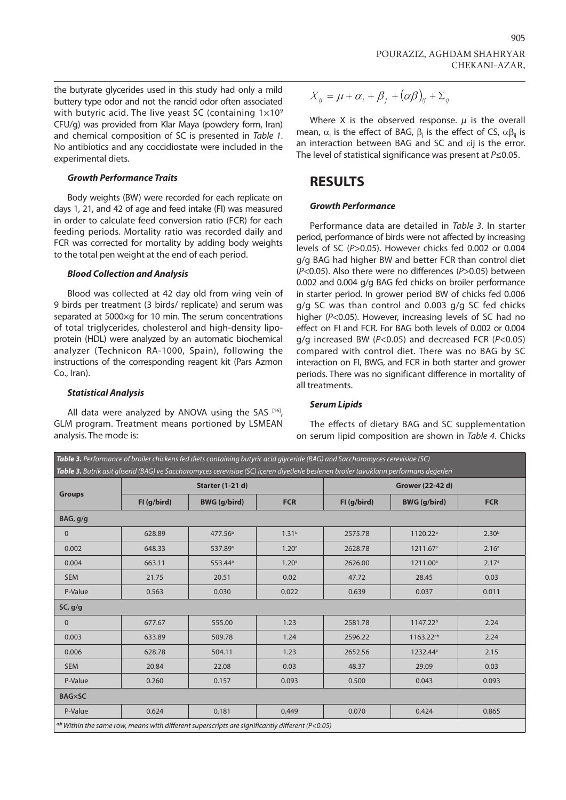the butyrate glycerides used in this study had only a mild buttery type odor and not the rancid odor often associated with butyric acid. The live yeast SC (containing  $1\times10^9$ CFU/g) was provided from Klar Maya (powdery form, Iran) and chemical composition of SC is presented in *Table 1*. No antibiotics and any coccidiostate were included in the experimental diets.

#### *Growth Performance Traits*

Body weights (BW) were recorded for each replicate on days 1, 21, and 42 of age and feed intake (FI) was measured in order to calculate feed conversion ratio (FCR) for each feeding periods. Mortality ratio was recorded daily and FCR was corrected for mortality by adding body weights to the total pen weight at the end of each period.

#### *Blood Collection and Analysis*

Blood was collected at 42 day old from wing vein of 9 birds per treatment (3 birds/ replicate) and serum was separated at 5000×g for 10 min. The serum concentrations of total triglycerides, cholesterol and high-density lipoprotein (HDL) were analyzed by an automatic biochemical analyzer (Technicon RA-1000, Spain), following the instructions of the corresponding reagent kit (Pars Azmon Co., Iran).

#### *Statistical Analysis*

All data were analyzed by ANOVA using the SAS  $[16]$ , GLM program. Treatment means portioned by LSMEAN analysis. The mode is:

$$
X_{ij} = \mu + \alpha_i + \beta_j + (\alpha \beta)_{ij} + \Sigma_{ij}
$$

Where X is the observed response.  $\mu$  is the overall mean,  $\alpha_i$  is the effect of BAG,  $\beta_j$  is the effect of CS,  $\alpha\beta_{ij}$  is an interaction between BAG and SC and eij is the error. The level of statistical significance was present at *P*≤0.05.

### **RESULTS**

#### *Growth Performance*

Performance data are detailed in *Table 3*. In starter period, performance of birds were not affected by increasing levels of SC (*P*>0.05). However chicks fed 0.002 or 0.004 g/g BAG had higher BW and better FCR than control diet (*P*<0.05). Also there were no differences (*P*>0.05) between 0.002 and 0.004 g/g BAG fed chicks on broiler performance in starter period. In grower period BW of chicks fed 0.006 g/g SC was than control and 0.003 g/g SC fed chicks higher (*P*<0.05). However, increasing levels of SC had no effect on FI and FCR. For BAG both levels of 0.002 or 0.004 g/g increased BW (*P*<0.05) and decreased FCR (*P*<0.05) compared with control diet. There was no BAG by SC interaction on FI, BWG, and FCR in both starter and grower periods. There was no significant difference in mortality of all treatments.

#### *Serum Lipids*

The effects of dietary BAG and SC supplementation on serum lipid composition are shown in *Table 4*. Chicks

|               |                         | Table 3. Performance of broiler chickens fed diets containing butyric acid glyceride (BAG) and Saccharomyces cerevisiae (SC)<br>Table 3. Butrik asit gliserid (BAG) ve Saccharomyces cerevisiae (SC) içeren diyetlerle beslenen broiler tavukların performans değerleri |                   |                  |                       |                   |
|---------------|-------------------------|-------------------------------------------------------------------------------------------------------------------------------------------------------------------------------------------------------------------------------------------------------------------------|-------------------|------------------|-----------------------|-------------------|
| <b>Groups</b> | <b>Starter (1-21 d)</b> |                                                                                                                                                                                                                                                                         |                   | Grower (22-42 d) |                       |                   |
|               | FI (g/bird)             | <b>BWG</b> (g/bird)                                                                                                                                                                                                                                                     | <b>FCR</b>        | FI (g/bird)      | <b>BWG</b> (g/bird)   | <b>FCR</b>        |
| BAG, g/g      |                         |                                                                                                                                                                                                                                                                         |                   |                  |                       |                   |
| $\mathbf 0$   | 628.89                  | 477.56 <sup>b</sup>                                                                                                                                                                                                                                                     | 1.31 <sup>b</sup> | 2575.78          | 1120.22 <sup>b</sup>  | 2.30 <sup>b</sup> |
| 0.002         | 648.33                  | 537.89 <sup>a</sup>                                                                                                                                                                                                                                                     | 1.20 <sup>a</sup> | 2628.78          | 1211.67 <sup>a</sup>  | 2.16 <sup>a</sup> |
| 0.004         | 663.11                  | 553.44 <sup>a</sup>                                                                                                                                                                                                                                                     | 1.20 <sup>a</sup> | 2626.00          | 1211.00 <sup>a</sup>  | 2.17 <sup>a</sup> |
| <b>SEM</b>    | 21.75                   | 20.51                                                                                                                                                                                                                                                                   | 0.02              | 47.72            | 28.45                 | 0.03              |
| P-Value       | 0.563                   | 0.030                                                                                                                                                                                                                                                                   | 0.022             | 0.639            | 0.037                 | 0.011             |
| SC, g/g       |                         |                                                                                                                                                                                                                                                                         |                   |                  |                       |                   |
| $\mathbf 0$   | 677.67                  | 555.00                                                                                                                                                                                                                                                                  | 1.23              | 2581.78          | 1147.22 <sup>b</sup>  | 2.24              |
| 0.003         | 633.89                  | 509.78                                                                                                                                                                                                                                                                  | 1.24              | 2596.22          | 1163.22 <sup>ab</sup> | 2.24              |
| 0.006         | 628.78                  | 504.11                                                                                                                                                                                                                                                                  | 1.23              | 2652.56          | 1232.44 <sup>a</sup>  | 2.15              |
| <b>SEM</b>    | 20.84                   | 22.08                                                                                                                                                                                                                                                                   | 0.03              | 48.37            | 29.09                 | 0.03              |
| P-Value       | 0.260                   | 0.157                                                                                                                                                                                                                                                                   | 0.093             | 0.500            | 0.043                 | 0.093             |
| <b>BAG×SC</b> |                         |                                                                                                                                                                                                                                                                         |                   |                  |                       |                   |
| P-Value       | 0.624                   | 0.181                                                                                                                                                                                                                                                                   | 0.449             | 0.070            | 0.424                 | 0.865             |
|               |                         | $\alpha$ <sup>b</sup> Within the same row, means with different superscripts are significantly different (P<0.05)                                                                                                                                                       |                   |                  |                       |                   |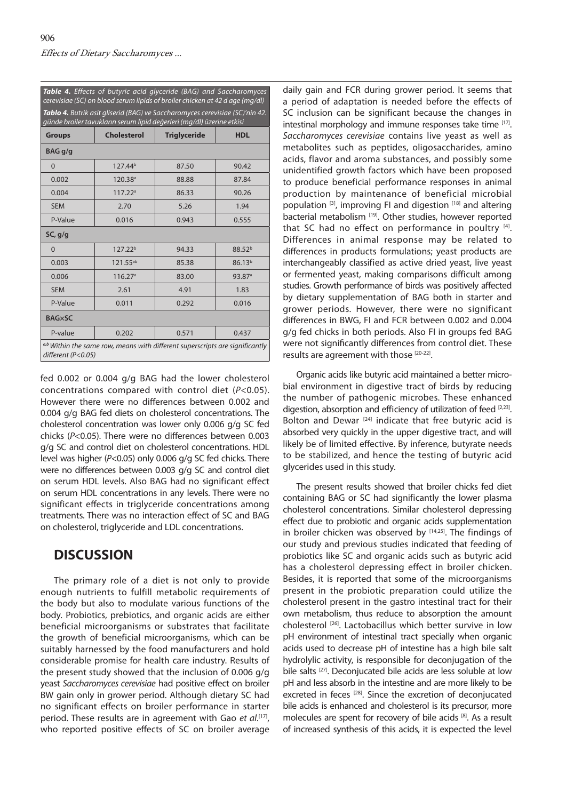| cerevisiae (SC) on blood serum lipids of broiler chicken at 42 d age (mg/dl)<br>Tablo 4. Butrik asit gliserid (BAG) ve Saccharomyces cerevisiae (SC)'nin 42. |                                                                                             |                     |                    |  |
|--------------------------------------------------------------------------------------------------------------------------------------------------------------|---------------------------------------------------------------------------------------------|---------------------|--------------------|--|
| <b>Groups</b>                                                                                                                                                | günde broiler tavukların serum lipid değerleri (mg/dl) üzerine etkisi<br><b>Cholesterol</b> | <b>Triglyceride</b> | <b>HDL</b>         |  |
| BAG g/g                                                                                                                                                      |                                                                                             |                     |                    |  |
| $\mathbf 0$                                                                                                                                                  | 127.44 <sup>b</sup>                                                                         | 87.50               | 90.42              |  |
| 0.002                                                                                                                                                        | 120.38 <sup>a</sup>                                                                         | 88.88               | 87.84              |  |
| 0.004                                                                                                                                                        | 117.22 <sup>a</sup>                                                                         | 86.33               | 90.26              |  |
| <b>SEM</b>                                                                                                                                                   | 2.70                                                                                        | 5.26                | 1.94               |  |
| P-Value                                                                                                                                                      | 0.016                                                                                       | 0.943               | 0.555              |  |
| SC, g/g                                                                                                                                                      |                                                                                             |                     |                    |  |
| $\Omega$                                                                                                                                                     | 127.22 <sup>b</sup>                                                                         | 94.33               | 88.52 <sup>b</sup> |  |
| 0.003                                                                                                                                                        | 121.55ab                                                                                    | 85.38               | 86.13 <sup>b</sup> |  |
| 0.006                                                                                                                                                        | 116.27 <sup>a</sup>                                                                         | 83.00               | 93.87 <sup>a</sup> |  |
| <b>SEM</b>                                                                                                                                                   | 2.61                                                                                        | 4.91                | 1.83               |  |
| P-Value                                                                                                                                                      | 0.011                                                                                       | 0.292               | 0.016              |  |
| <b>BAG×SC</b>                                                                                                                                                |                                                                                             |                     |                    |  |
| P-value                                                                                                                                                      | 0.202                                                                                       | 0.571               | 0.437              |  |

*Table 4. Effects of butyric acid glyceride (BAG) and Saccharomyces* 

fed 0.002 or 0.004 g/g BAG had the lower cholesterol concentrations compared with control diet (*P*<0.05). However there were no differences between 0.002 and 0.004 g/g BAG fed diets on cholesterol concentrations. The cholesterol concentration was lower only 0.006 g/g SC fed chicks (*P*<0.05). There were no differences between 0.003 g/g SC and control diet on cholesterol concentrations. HDL level was higher (*P*<0.05) only 0.006 g/g SC fed chicks. There were no differences between 0.003 g/g SC and control diet on serum HDL levels. Also BAG had no significant effect on serum HDL concentrations in any levels. There were no significant effects in triglyceride concentrations among treatments. There was no interaction effect of SC and BAG on cholesterol, triglyceride and LDL concentrations.

### **DISCUSSION**

The primary role of a diet is not only to provide enough nutrients to fulfill metabolic requirements of the body but also to modulate various functions of the body. Probiotics, prebiotics, and organic acids are either beneficial microorganisms or substrates that facilitate the growth of beneficial microorganisms, which can be suitably harnessed by the food manufacturers and hold considerable promise for health care industry. Results of the present study showed that the inclusion of 0.006 g/g yeast *Saccharomyces cerevisiae* had positive effect on broiler BW gain only in grower period. Although dietary SC had no significant effects on broiler performance in starter period. These results are in agreement with Gao *et al*. [17], who reported positive effects of SC on broiler average

daily gain and FCR during grower period. It seems that a period of adaptation is needed before the effects of SC inclusion can be significant because the changes in intestinal morphology and immune responses take time [17]. *Saccharomyces cerevisiae* contains live yeast as well as metabolites such as peptides, oligosaccharides, amino acids, flavor and aroma substances, and possibly some unidentified growth factors which have been proposed to produce beneficial performance responses in animal production by maintenance of beneficial microbial population  $[3]$ , improving FI and digestion  $[18]$  and altering bacterial metabolism<sup>[19]</sup>. Other studies, however reported that SC had no effect on performance in poultry  $[4]$ . Differences in animal response may be related to differences in products formulations; yeast products are interchangeably classified as active dried yeast, live yeast or fermented yeast, making comparisons difficult among studies. Growth performance of birds was positively affected by dietary supplementation of BAG both in starter and grower periods. However, there were no significant differences in BWG, FI and FCR between 0.002 and 0.004 g/g fed chicks in both periods. Also FI in groups fed BAG were not significantly differences from control diet. These results are agreement with those [20-22].

Organic acids like butyric acid maintained a better microbial environment in digestive tract of birds by reducing the number of pathogenic microbes. These enhanced digestion, absorption and efficiency of utilization of feed [2,23]. Bolton and Dewar<sup>[24]</sup> indicate that free butyric acid is absorbed very quickly in the upper digestive tract, and will likely be of limited effective. By inference, butyrate needs to be stabilized, and hence the testing of butyric acid glycerides used in this study.

The present results showed that broiler chicks fed diet containing BAG or SC had significantly the lower plasma cholesterol concentrations. Similar cholesterol depressing effect due to probiotic and organic acids supplementation in broiler chicken was observed by  $[14,25]$ . The findings of our study and previous studies indicated that feeding of probiotics like SC and organic acids such as butyric acid has a cholesterol depressing effect in broiler chicken. Besides, it is reported that some of the microorganisms present in the probiotic preparation could utilize the cholesterol present in the gastro intestinal tract for their own metabolism, thus reduce to absorption the amount cholesterol [26]. Lactobacillus which better survive in low pH environment of intestinal tract specially when organic acids used to decrease pH of intestine has a high bile salt hydrolylic activity, is responsible for deconjugation of the bile salts [27]. Deconjucated bile acids are less soluble at low pH and less absorb in the intestine and are more likely to be excreted in feces<sup>[28]</sup>. Since the excretion of deconjucated bile acids is enhanced and cholesterol is its precursor, more molecules are spent for recovery of bile acids [8]. As a result of increased synthesis of this acids, it is expected the level